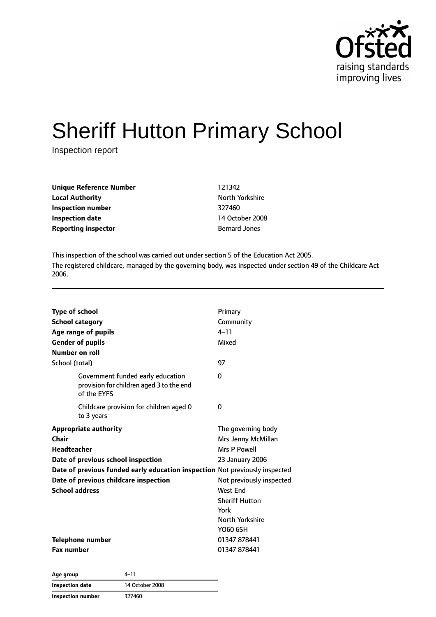

# Sheriff Hutton Primary School

Inspection report

| Unique Reference Number    | 121342               |
|----------------------------|----------------------|
| <b>Local Authority</b>     | North Yorkshire      |
| Inspection number          | 327460               |
| Inspection date            | 14 October 2008      |
| <b>Reporting inspector</b> | <b>Bernard Jones</b> |

This inspection of the school was carried out under section 5 of the Education Act 2005. The registered childcare, managed by the governing body, was inspected under section 49 of the Childcare Act 2006.

| <b>Type of school</b>                                                                        | Primary                  |
|----------------------------------------------------------------------------------------------|--------------------------|
| <b>School category</b>                                                                       | Community                |
| Age range of pupils                                                                          | $4 - 11$                 |
| <b>Gender of pupils</b>                                                                      | Mixed                    |
| Number on roll                                                                               |                          |
| School (total)                                                                               | 97                       |
| Government funded early education<br>provision for children aged 3 to the end<br>of the EYFS | $\Omega$                 |
| Childcare provision for children aged 0<br>to 3 years                                        | 0                        |
| <b>Appropriate authority</b>                                                                 | The governing body       |
| Chair                                                                                        | Mrs Jenny McMillan       |
| <b>Headteacher</b>                                                                           | Mrs P Powell             |
| Date of previous school inspection                                                           | 23 January 2006          |
| Date of previous funded early education inspection Not previously inspected                  |                          |
| Date of previous childcare inspection                                                        | Not previously inspected |
| <b>School address</b>                                                                        | West End                 |
|                                                                                              | <b>Sheriff Hutton</b>    |
|                                                                                              | York                     |
|                                                                                              | North Yorkshire          |
|                                                                                              | Y060 6SH                 |
| Telephone number                                                                             | 01347 878441             |
| <b>Fax number</b>                                                                            | 01347 878441             |

| Age group                | 4–11            |
|--------------------------|-----------------|
| Inspection date          | 14 October 2008 |
| <b>Inspection number</b> | 327460          |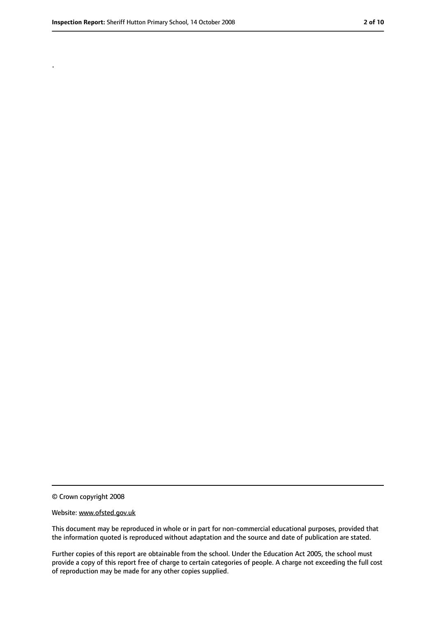.

<sup>©</sup> Crown copyright 2008

Website: www.ofsted.gov.uk

This document may be reproduced in whole or in part for non-commercial educational purposes, provided that the information quoted is reproduced without adaptation and the source and date of publication are stated.

Further copies of this report are obtainable from the school. Under the Education Act 2005, the school must provide a copy of this report free of charge to certain categories of people. A charge not exceeding the full cost of reproduction may be made for any other copies supplied.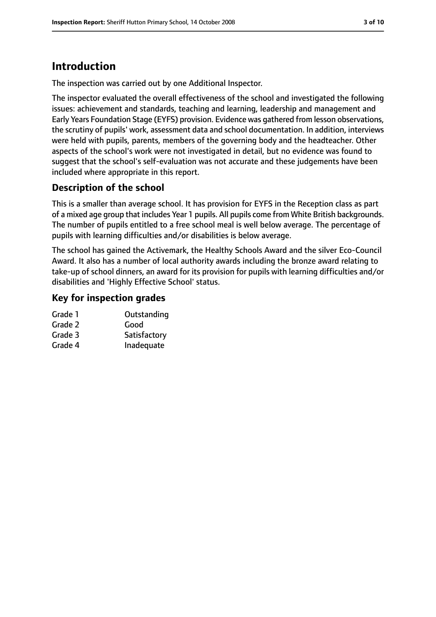# **Introduction**

The inspection was carried out by one Additional Inspector.

The inspector evaluated the overall effectiveness of the school and investigated the following issues: achievement and standards, teaching and learning, leadership and management and Early Years Foundation Stage (EYFS) provision. Evidence was gathered from lesson observations, the scrutiny of pupils' work, assessment data and school documentation. In addition, interviews were held with pupils, parents, members of the governing body and the headteacher. Other aspects of the school's work were not investigated in detail, but no evidence was found to suggest that the school's self-evaluation was not accurate and these judgements have been included where appropriate in this report.

#### **Description of the school**

This is a smaller than average school. It has provision for EYFS in the Reception class as part of a mixed age group that includes Year 1 pupils. All pupils come from White British backgrounds. The number of pupils entitled to a free school meal is well below average. The percentage of pupils with learning difficulties and/or disabilities is below average.

The school has gained the Activemark, the Healthy Schools Award and the silver Eco-Council Award. It also has a number of local authority awards including the bronze award relating to take-up of school dinners, an award for its provision for pupils with learning difficulties and/or disabilities and 'Highly Effective School' status.

#### **Key for inspection grades**

| Grade 1 | Outstanding  |
|---------|--------------|
| Grade 2 | Good         |
| Grade 3 | Satisfactory |
| Grade 4 | Inadequate   |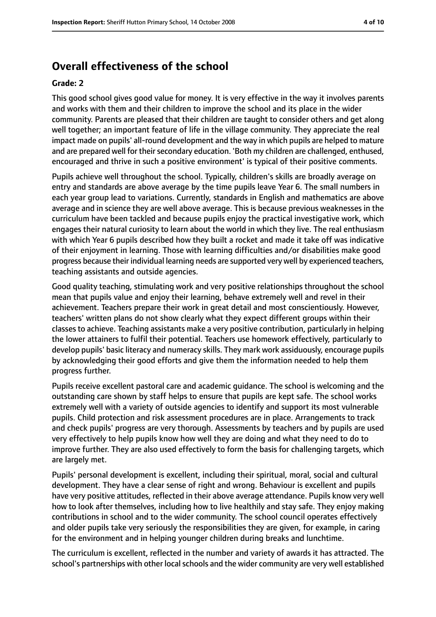## **Overall effectiveness of the school**

#### **Grade: 2**

This good school gives good value for money. It is very effective in the way it involves parents and works with them and their children to improve the school and its place in the wider community. Parents are pleased that their children are taught to consider others and get along well together; an important feature of life in the village community. They appreciate the real impact made on pupils' all-round development and the way in which pupils are helped to mature and are prepared well for their secondary education. 'Both my children are challenged, enthused, encouraged and thrive in such a positive environment' is typical of their positive comments.

Pupils achieve well throughout the school. Typically, children's skills are broadly average on entry and standards are above average by the time pupils leave Year 6. The small numbers in each year group lead to variations. Currently, standards in English and mathematics are above average and in science they are well above average. This is because previous weaknesses in the curriculum have been tackled and because pupils enjoy the practical investigative work, which engages their natural curiosity to learn about the world in which they live. The real enthusiasm with which Year 6 pupils described how they built a rocket and made it take off was indicative of their enjoyment in learning. Those with learning difficulties and/or disabilities make good progress because their individual learning needs are supported very well by experienced teachers, teaching assistants and outside agencies.

Good quality teaching, stimulating work and very positive relationships throughout the school mean that pupils value and enjoy their learning, behave extremely well and revel in their achievement. Teachers prepare their work in great detail and most conscientiously. However, teachers' written plans do not show clearly what they expect different groups within their classes to achieve. Teaching assistants make a very positive contribution, particularly in helping the lower attainers to fulfil their potential. Teachers use homework effectively, particularly to develop pupils' basic literacy and numeracy skills. They mark work assiduously, encourage pupils by acknowledging their good efforts and give them the information needed to help them progress further.

Pupils receive excellent pastoral care and academic guidance. The school is welcoming and the outstanding care shown by staff helps to ensure that pupils are kept safe. The school works extremely well with a variety of outside agencies to identify and support its most vulnerable pupils. Child protection and risk assessment procedures are in place. Arrangements to track and check pupils' progress are very thorough. Assessments by teachers and by pupils are used very effectively to help pupils know how well they are doing and what they need to do to improve further. They are also used effectively to form the basis for challenging targets, which are largely met.

Pupils' personal development is excellent, including their spiritual, moral, social and cultural development. They have a clear sense of right and wrong. Behaviour is excellent and pupils have very positive attitudes, reflected in their above average attendance. Pupils know very well how to look after themselves, including how to live healthily and stay safe. They enjoy making contributions in school and to the wider community. The school council operates effectively and older pupils take very seriously the responsibilities they are given, for example, in caring for the environment and in helping younger children during breaks and lunchtime.

The curriculum is excellent, reflected in the number and variety of awards it has attracted. The school's partnerships with other local schools and the wider community are very well established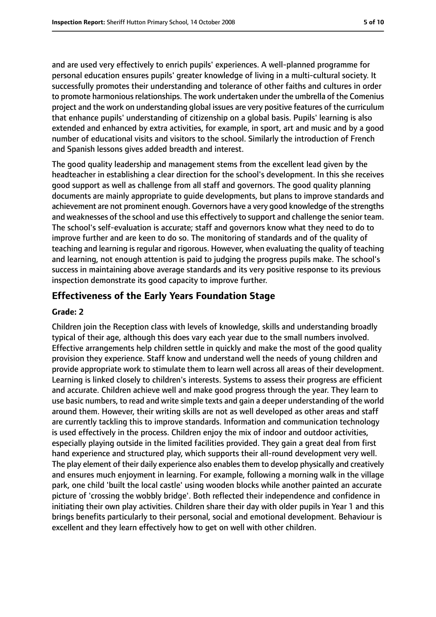and are used very effectively to enrich pupils' experiences. A well-planned programme for personal education ensures pupils' greater knowledge of living in a multi-cultural society. It successfully promotes their understanding and tolerance of other faiths and cultures in order to promote harmonious relationships. The work undertaken under the umbrella of the Comenius project and the work on understanding global issues are very positive features of the curriculum that enhance pupils' understanding of citizenship on a global basis. Pupils' learning is also extended and enhanced by extra activities, for example, in sport, art and music and by a good number of educational visits and visitors to the school. Similarly the introduction of French and Spanish lessons gives added breadth and interest.

The good quality leadership and management stems from the excellent lead given by the headteacher in establishing a clear direction for the school's development. In this she receives good support as well as challenge from all staff and governors. The good quality planning documents are mainly appropriate to guide developments, but plans to improve standards and achievement are not prominent enough. Governors have a very good knowledge of the strengths and weaknesses of the school and use this effectively to support and challenge the senior team. The school's self-evaluation is accurate; staff and governors know what they need to do to improve further and are keen to do so. The monitoring of standards and of the quality of teaching and learning is regular and rigorous. However, when evaluating the quality of teaching and learning, not enough attention is paid to judging the progress pupils make. The school's success in maintaining above average standards and its very positive response to its previous inspection demonstrate its good capacity to improve further.

#### **Effectiveness of the Early Years Foundation Stage**

#### **Grade: 2**

Children join the Reception class with levels of knowledge, skills and understanding broadly typical of their age, although this does vary each year due to the small numbers involved. Effective arrangements help children settle in quickly and make the most of the good quality provision they experience. Staff know and understand well the needs of young children and provide appropriate work to stimulate them to learn well across all areas of their development. Learning is linked closely to children's interests. Systems to assess their progress are efficient and accurate. Children achieve well and make good progress through the year. They learn to use basic numbers, to read and write simple texts and gain a deeper understanding of the world around them. However, their writing skills are not as well developed as other areas and staff are currently tackling this to improve standards. Information and communication technology is used effectively in the process. Children enjoy the mix of indoor and outdoor activities, especially playing outside in the limited facilities provided. They gain a great deal from first hand experience and structured play, which supports their all-round development very well. The play element of their daily experience also enables them to develop physically and creatively and ensures much enjoyment in learning. For example, following a morning walk in the village park, one child 'built the local castle' using wooden blocks while another painted an accurate picture of 'crossing the wobbly bridge'. Both reflected their independence and confidence in initiating their own play activities. Children share their day with older pupils in Year 1 and this brings benefits particularly to their personal, social and emotional development. Behaviour is excellent and they learn effectively how to get on well with other children.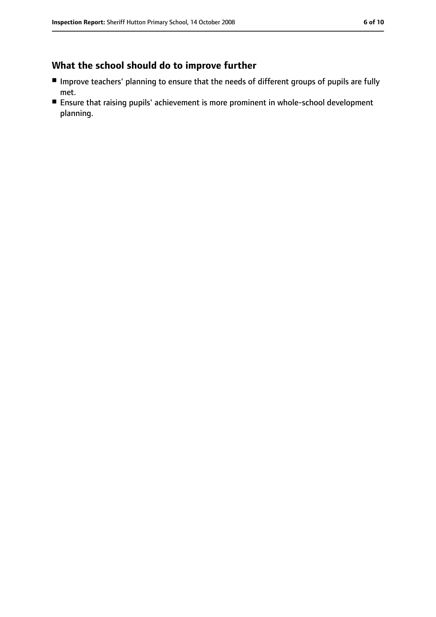## **What the school should do to improve further**

- Improve teachers' planning to ensure that the needs of different groups of pupils are fully met.
- Ensure that raising pupils' achievement is more prominent in whole-school development planning.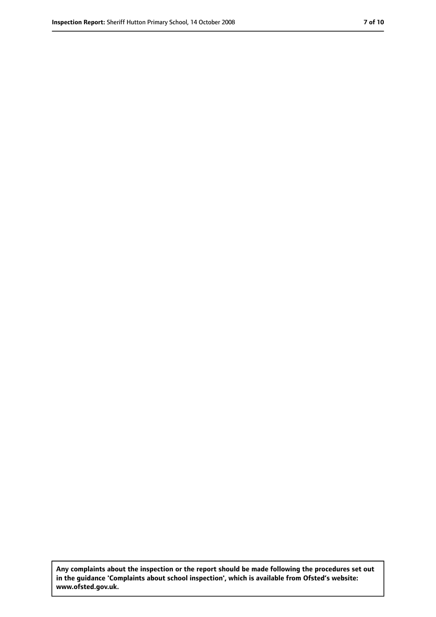**Any complaints about the inspection or the report should be made following the procedures set out in the guidance 'Complaints about school inspection', which is available from Ofsted's website: www.ofsted.gov.uk.**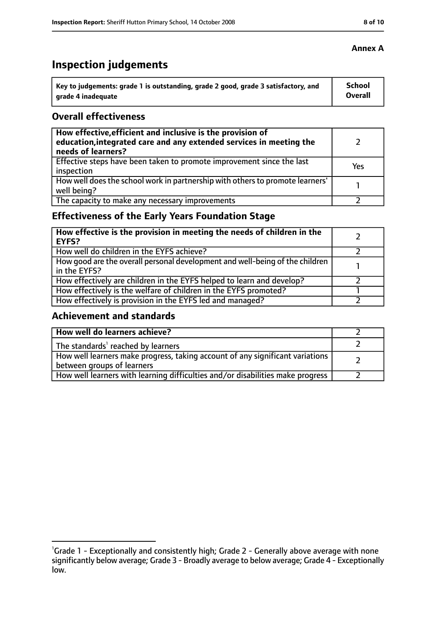# **Inspection judgements**

| Key to judgements: grade 1 is outstanding, grade 2 good, grade 3 satisfactory, and | <b>School</b>  |
|------------------------------------------------------------------------------------|----------------|
| arade 4 inadequate                                                                 | <b>Overall</b> |

#### **Overall effectiveness**

| How effective, efficient and inclusive is the provision of<br>education, integrated care and any extended services in meeting the<br>needs of learners? |     |
|---------------------------------------------------------------------------------------------------------------------------------------------------------|-----|
| Effective steps have been taken to promote improvement since the last<br>inspection                                                                     | Yes |
| How well does the school work in partnership with others to promote learners'<br>well being?                                                            |     |
| The capacity to make any necessary improvements                                                                                                         |     |

## **Effectiveness of the Early Years Foundation Stage**

| How effective is the provision in meeting the needs of children in the<br><b>EYFS?</b>       |  |
|----------------------------------------------------------------------------------------------|--|
| How well do children in the EYFS achieve?                                                    |  |
| How good are the overall personal development and well-being of the children<br>in the EYFS? |  |
| How effectively are children in the EYFS helped to learn and develop?                        |  |
| How effectively is the welfare of children in the EYFS promoted?                             |  |
| How effectively is provision in the EYFS led and managed?                                    |  |

#### **Achievement and standards**

| How well do learners achieve?                                                                               |  |
|-------------------------------------------------------------------------------------------------------------|--|
| The standards <sup>1</sup> reached by learners                                                              |  |
| How well learners make progress, taking account of any significant variations<br>between groups of learners |  |
| How well learners with learning difficulties and/or disabilities make progress                              |  |

#### **Annex A**

<sup>&</sup>lt;sup>1</sup>Grade 1 - Exceptionally and consistently high; Grade 2 - Generally above average with none significantly below average; Grade 3 - Broadly average to below average; Grade 4 - Exceptionally low.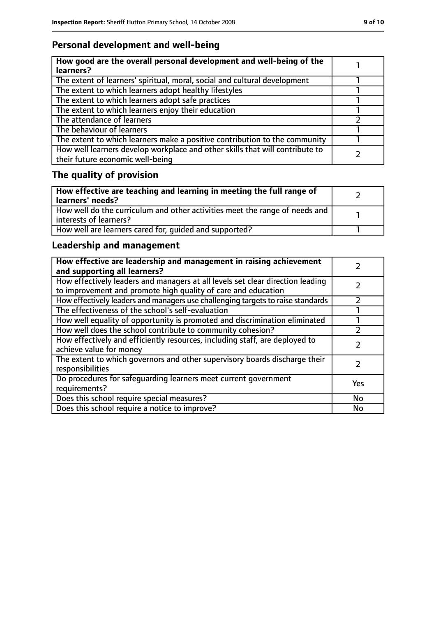## **Personal development and well-being**

| How good are the overall personal development and well-being of the<br>learners?                                 |  |
|------------------------------------------------------------------------------------------------------------------|--|
| The extent of learners' spiritual, moral, social and cultural development                                        |  |
| The extent to which learners adopt healthy lifestyles                                                            |  |
| The extent to which learners adopt safe practices                                                                |  |
| The extent to which learners enjoy their education                                                               |  |
| The attendance of learners                                                                                       |  |
| The behaviour of learners                                                                                        |  |
| The extent to which learners make a positive contribution to the community                                       |  |
| How well learners develop workplace and other skills that will contribute to<br>their future economic well-being |  |

# **The quality of provision**

| How effective are teaching and learning in meeting the full range of<br>learners' needs?              |  |
|-------------------------------------------------------------------------------------------------------|--|
| How well do the curriculum and other activities meet the range of needs and<br>interests of learners? |  |
| How well are learners cared for, quided and supported?                                                |  |

## **Leadership and management**

| How effective are leadership and management in raising achievement<br>and supporting all learners?                                              |           |
|-------------------------------------------------------------------------------------------------------------------------------------------------|-----------|
| How effectively leaders and managers at all levels set clear direction leading<br>to improvement and promote high quality of care and education |           |
| How effectively leaders and managers use challenging targets to raise standards                                                                 |           |
| The effectiveness of the school's self-evaluation                                                                                               |           |
| How well equality of opportunity is promoted and discrimination eliminated                                                                      |           |
| How well does the school contribute to community cohesion?                                                                                      |           |
| How effectively and efficiently resources, including staff, are deployed to<br>achieve value for money                                          |           |
| The extent to which governors and other supervisory boards discharge their<br>responsibilities                                                  |           |
| Do procedures for safequarding learners meet current government<br>requirements?                                                                | Yes       |
| Does this school require special measures?                                                                                                      | No        |
| Does this school require a notice to improve?                                                                                                   | <b>No</b> |